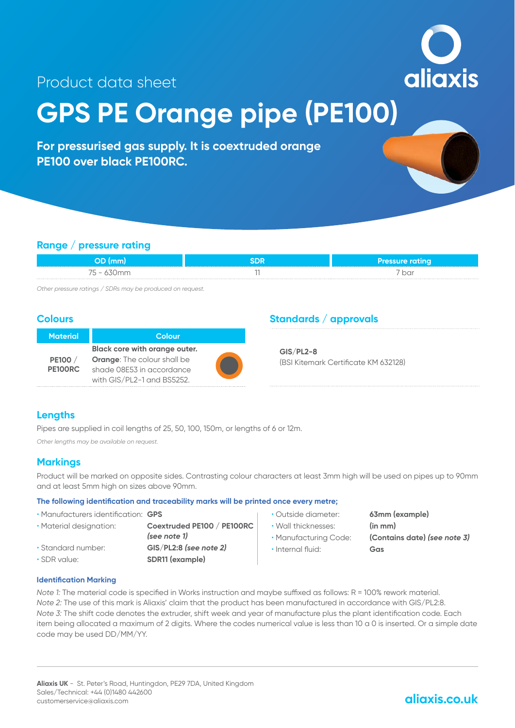aliaxis

## Product data sheet

# **GPS PE Orange pipe (PE100)**

**For pressurised gas supply. It is coextruded orange PE100 over black PE100RC.**

#### **Range / pressure rating**

|                   | Pressure ratina |
|-------------------|-----------------|
| $\cdot$ – $\cdot$ | ba              |

*Other pressure ratings / SDRs may be produced on request.*

#### **Colours**

| <b>Material</b> | Colour                             |  |
|-----------------|------------------------------------|--|
|                 | Black core with orange outer.      |  |
| <b>PE100</b> /  | <b>Orange:</b> The colour shall be |  |
| PE100RC         | shade 08E53 in accordance          |  |
|                 | with GIS/PL2-1 and BS5252.         |  |

#### **Standards / approvals**

**GIS/PL2-8** (BSI Kitemark Certificate KM 632128)

#### **Lengths**

Pipes are supplied in coil lengths of 25, 50, 100, 150m, or lengths of 6 or 12m.

*Other lengths may be available on request.*

#### **Markings**

Product will be marked on opposite sides. Contrasting colour characters at least 3mm high will be used on pipes up to 90mm and at least 5mm high on sizes above 90mm.

#### **The following identification and traceability marks will be printed once every metre;**

- Manufacturers identification: **GPS**
- 
- 
- 
- Material designation: **Coextruded PE100 / PE100RC**  *(see note 1)* • Standard number: **GIS/PL2:8** *(see note 2)* • SDR value: **SDR11 (example)**
- Outside diameter: **63mm (example)**
- Wall thicknesses: **(in mm)**
- 
- Internal fluid: **Gas**

• Manufacturing Code: **(Contains date)** *(see note 3)*

#### **Identification Marking**

*Note 1:* The material code is specified in Works instruction and maybe suffixed as follows: R = 100% rework material. *Note 2:* The use of this mark is Aliaxis' claim that the product has been manufactured in accordance with GIS/PL2:8. *Note 3:* The shift code denotes the extruder, shift week and year of manufacture plus the plant identification code. Each item being allocated a maximum of 2 digits. Where the codes numerical value is less than 10 a 0 is inserted. Or a simple date code may be used DD/MM/YY.

## **aliaxis.co.uk**